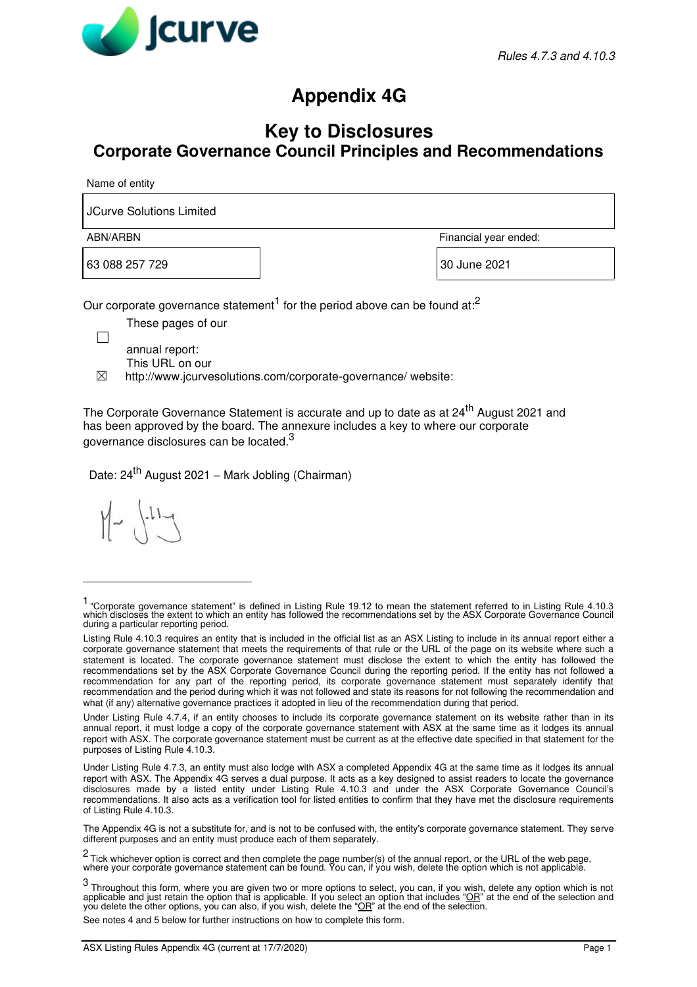

## **Appendix 4G**

## **Key to Disclosures Corporate Governance Council Principles and Recommendations**

Name of entity

JCurve Solutions Limited

63 088 257 729 30 June 2021

ABN/ARBN Financial year ended:

Our corporate governance statement<sup>1</sup> for the period above can be found at:<sup>2</sup>

These pages of our

annual report: This URL on our

 $\boxtimes$  http://www.jcurvesolutions.com/corporate-governance/ website:

The Corporate Governance Statement is accurate and up to date as at 24<sup>th</sup> August 2021 and has been approved by the board. The annexure includes a key to where our corporate governance disclosures can be located.<sup>3</sup>

Date: 24<sup>th</sup> August 2021 – Mark Jobling (Chairman)

 $11 -$ 

See notes 4 and 5 below for further instructions on how to complete this form.

<sup>1</sup> "Corporate governance statement" is defined in Listing Rule 19.12 to mean the statement referred to in Listing Rule 4.10.3 which discloses the extent to which an entity has followed the recommendations set by the ASX Corporate Governance Council during a particular reporting period.

Listing Rule 4.10.3 requires an entity that is included in the official list as an ASX Listing to include in its annual report either a corporate governance statement that meets the requirements of that rule or the URL of the page on its website where such a statement is located. The corporate governance statement must disclose the extent to which the entity has followed the recommendations set by the ASX Corporate Governance Council during the reporting period. If the entity has not followed a recommendation for any part of the reporting period, its corporate governance statement must separately identify that recommendation and the period during which it was not followed and state its reasons for not following the recommendation and what (if any) alternative governance practices it adopted in lieu of the recommendation during that period.

Under Listing Rule 4.7.4, if an entity chooses to include its corporate governance statement on its website rather than in its annual report, it must lodge a copy of the corporate governance statement with ASX at the same time as it lodges its annual report with ASX. The corporate governance statement must be current as at the effective date specified in that statement for the purposes of Listing Rule 4.10.3.

Under Listing Rule 4.7.3, an entity must also lodge with ASX a completed Appendix 4G at the same time as it lodges its annual report with ASX. The Appendix 4G serves a dual purpose. It acts as a key designed to assist readers to locate the governance disclosures made by a listed entity under Listing Rule 4.10.3 and under the ASX Corporate Governance Council's recommendations. It also acts as a verification tool for listed entities to confirm that they have met the disclosure requirements of Listing Rule 4.10.3.

The Appendix 4G is not a substitute for, and is not to be confused with, the entity's corporate governance statement. They serve different purposes and an entity must produce each of them separately.

<sup>2&</sup>lt;br>Tick whichever option is correct and then complete the page number(s) of the annual report, or the URL of the web page,<br>where your corporate governance statement can be found. You can, if you wish, delete the option whic

<sup>3</sup> Throughout this form, where you are given two or more options to select, you can, if you wish, delete any option which is not<br>applicable and just retain the option that is applicable. If you select an option that include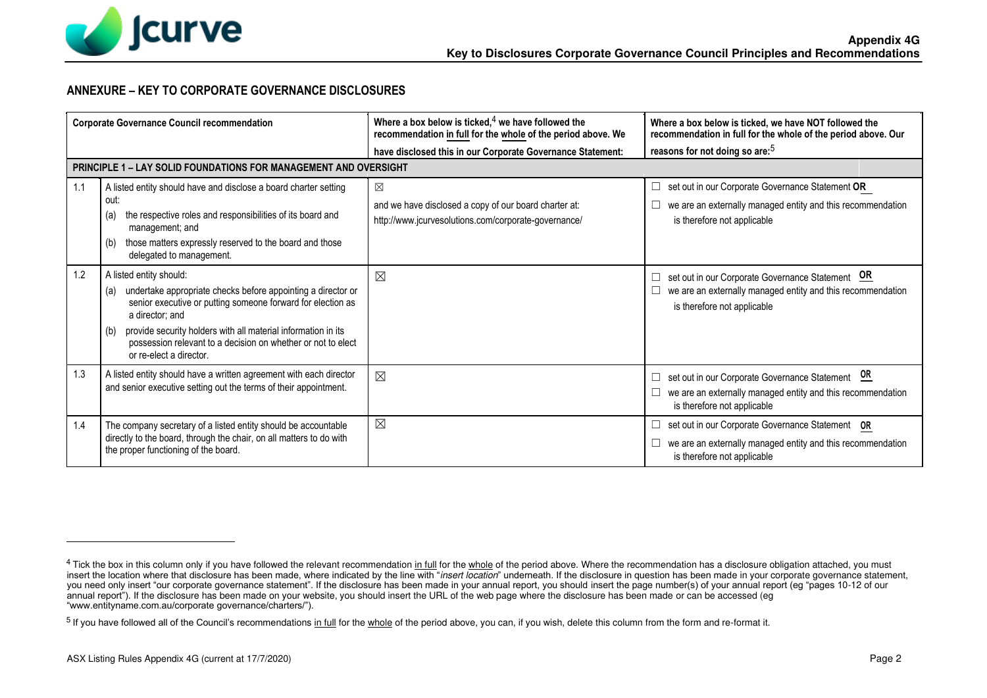

## **ANNEXURE – KEY TO CORPORATE GOVERNANCE DISCLOSURES**

| <b>Corporate Governance Council recommendation</b> |                                                                                                                                                                                                                                                                                                                                                     | Where a box below is ticked, $4$ we have followed the<br>recommendation in full for the whole of the period above. We        | Where a box below is ticked, we have NOT followed the<br>recommendation in full for the whole of the period above. Our                              |
|----------------------------------------------------|-----------------------------------------------------------------------------------------------------------------------------------------------------------------------------------------------------------------------------------------------------------------------------------------------------------------------------------------------------|------------------------------------------------------------------------------------------------------------------------------|-----------------------------------------------------------------------------------------------------------------------------------------------------|
|                                                    |                                                                                                                                                                                                                                                                                                                                                     | have disclosed this in our Corporate Governance Statement:                                                                   | reasons for not doing so are: <sup>5</sup>                                                                                                          |
|                                                    | <b>PRINCIPLE 1 – LAY SOLID FOUNDATIONS FOR MANAGEMENT AND OVERSIGHT</b>                                                                                                                                                                                                                                                                             |                                                                                                                              |                                                                                                                                                     |
| 1.1                                                | A listed entity should have and disclose a board charter setting<br>out:<br>the respective roles and responsibilities of its board and<br>(a)<br>management; and                                                                                                                                                                                    | $\boxtimes$<br>and we have disclosed a copy of our board charter at:<br>http://www.jcurvesolutions.com/corporate-governance/ | set out in our Corporate Governance Statement OR<br>⊔<br>we are an externally managed entity and this recommendation<br>is therefore not applicable |
|                                                    | those matters expressly reserved to the board and those<br>(b)<br>delegated to management.                                                                                                                                                                                                                                                          |                                                                                                                              |                                                                                                                                                     |
| 1.2                                                | A listed entity should:<br>undertake appropriate checks before appointing a director or<br>(a)<br>senior executive or putting someone forward for election as<br>a director; and<br>provide security holders with all material information in its<br>(b)<br>possession relevant to a decision on whether or not to elect<br>or re-elect a director. | $\boxtimes$                                                                                                                  | set out in our Corporate Governance Statement OR<br>we are an externally managed entity and this recommendation<br>is therefore not applicable      |
| 1.3                                                | A listed entity should have a written agreement with each director<br>and senior executive setting out the terms of their appointment.                                                                                                                                                                                                              | $\boxtimes$                                                                                                                  | set out in our Corporate Governance Statement OR<br>we are an externally managed entity and this recommendation<br>is therefore not applicable      |
| 1.4                                                | The company secretary of a listed entity should be accountable<br>directly to the board, through the chair, on all matters to do with<br>the proper functioning of the board.                                                                                                                                                                       | $\boxtimes$                                                                                                                  | set out in our Corporate Governance Statement OR<br>⊔<br>we are an externally managed entity and this recommendation<br>is therefore not applicable |

<sup>&</sup>lt;sup>4</sup> Tick the box in this column only if you have followed the relevant recommendation in full for the whole of the period above. Where the recommendation has a disclosure obligation attached, you must insert the location where that disclosure has been made, where indicated by the line with "insert location" underneath. If the disclosure in question has been made in your corporate governance statement, you need only insert "our corporate governance statement". If the disclosure has been made in your annual report, you should insert the page number(s) of your annual report (eg "pages 10-12 of our annual report"). If the disclosure has been made on your website, you should insert the URL of the web page where the disclosure has been made or can be accessed (eg "www.entityname.com.au/corporate governance/charters/").

<sup>&</sup>lt;sup>5</sup> If you have followed all of the Council's recommendations in full for the whole of the period above, you can, if you wish, delete this column from the form and re-format it.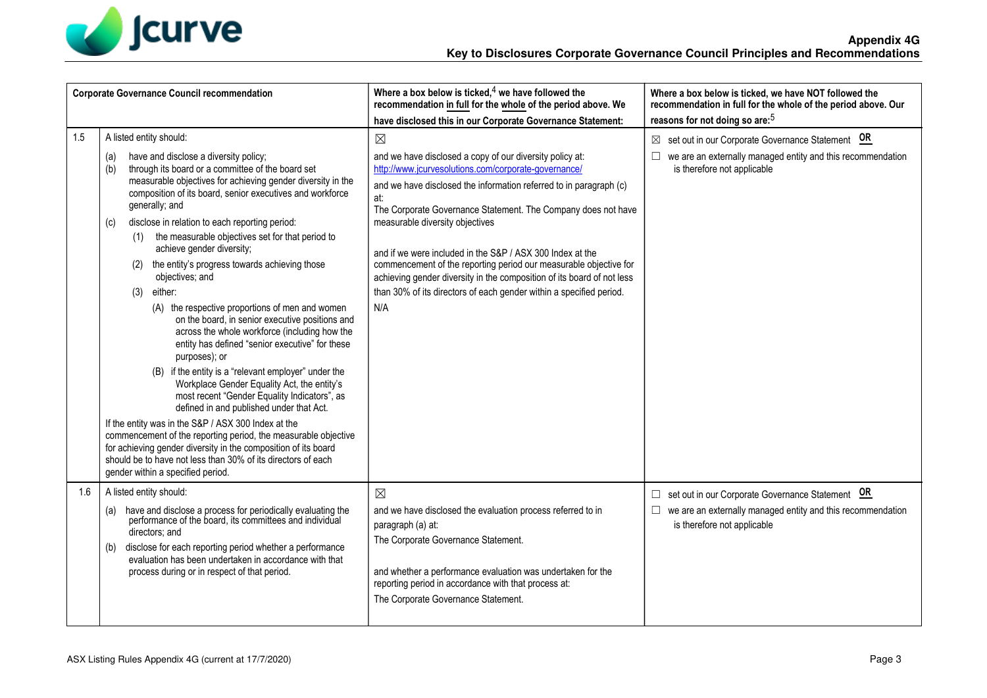

| <b>Corporate Governance Council recommendation</b> |                                                                                                                                                                                                                                                                                                                                                                                                                                                                                                                                                                                                                                                                                     | Where a box below is ticked, $4$ we have followed the<br>recommendation in full for the whole of the period above. We                                                                                                                                                                                                                                                                                                                                                                                                                                                                                      | Where a box below is ticked, we have NOT followed the<br>recommendation in full for the whole of the period above. Our                                     |
|----------------------------------------------------|-------------------------------------------------------------------------------------------------------------------------------------------------------------------------------------------------------------------------------------------------------------------------------------------------------------------------------------------------------------------------------------------------------------------------------------------------------------------------------------------------------------------------------------------------------------------------------------------------------------------------------------------------------------------------------------|------------------------------------------------------------------------------------------------------------------------------------------------------------------------------------------------------------------------------------------------------------------------------------------------------------------------------------------------------------------------------------------------------------------------------------------------------------------------------------------------------------------------------------------------------------------------------------------------------------|------------------------------------------------------------------------------------------------------------------------------------------------------------|
|                                                    |                                                                                                                                                                                                                                                                                                                                                                                                                                                                                                                                                                                                                                                                                     | have disclosed this in our Corporate Governance Statement:                                                                                                                                                                                                                                                                                                                                                                                                                                                                                                                                                 | reasons for not doing so are: <sup>5</sup>                                                                                                                 |
| 1.5                                                | A listed entity should:<br>have and disclose a diversity policy;<br>(a)<br>through its board or a committee of the board set<br>(b)<br>measurable objectives for achieving gender diversity in the<br>composition of its board, senior executives and workforce<br>generally; and<br>disclose in relation to each reporting period:<br>(c)<br>(1) the measurable objectives set for that period to<br>achieve gender diversity;<br>the entity's progress towards achieving those<br>(2)<br>objectives; and<br>either:<br>(3)<br>(A) the respective proportions of men and women<br>on the board, in senior executive positions and<br>across the whole workforce (including how the | $\boxtimes$<br>and we have disclosed a copy of our diversity policy at:<br>http://www.jcurvesolutions.com/corporate-governance/<br>and we have disclosed the information referred to in paragraph (c)<br>at:<br>The Corporate Governance Statement. The Company does not have<br>measurable diversity objectives<br>and if we were included in the S&P / ASX 300 Index at the<br>commencement of the reporting period our measurable objective for<br>achieving gender diversity in the composition of its board of not less<br>than 30% of its directors of each gender within a specified period.<br>N/A | $\boxtimes$ set out in our Corporate Governance Statement OR<br>we are an externally managed entity and this recommendation<br>is therefore not applicable |
|                                                    | entity has defined "senior executive" for these<br>purposes); or<br>(B) if the entity is a "relevant employer" under the<br>Workplace Gender Equality Act, the entity's<br>most recent "Gender Equality Indicators", as<br>defined in and published under that Act.<br>If the entity was in the S&P / ASX 300 Index at the<br>commencement of the reporting period, the measurable objective<br>for achieving gender diversity in the composition of its board<br>should be to have not less than 30% of its directors of each<br>gender within a specified period.                                                                                                                 |                                                                                                                                                                                                                                                                                                                                                                                                                                                                                                                                                                                                            |                                                                                                                                                            |
| 1.6                                                | A listed entity should:<br>have and disclose a process for periodically evaluating the<br>performance of the board, its committees and individual<br>(a)<br>directors; and<br>disclose for each reporting period whether a performance<br>(b)<br>evaluation has been undertaken in accordance with that<br>process during or in respect of that period.                                                                                                                                                                                                                                                                                                                             | $\boxtimes$<br>and we have disclosed the evaluation process referred to in<br>paragraph (a) at:<br>The Corporate Governance Statement.<br>and whether a performance evaluation was undertaken for the<br>reporting period in accordance with that process at:<br>The Corporate Governance Statement.                                                                                                                                                                                                                                                                                                       | □ set out in our Corporate Governance Statement OR<br>$\Box$ we are an externally managed entity and this recommendation<br>is therefore not applicable    |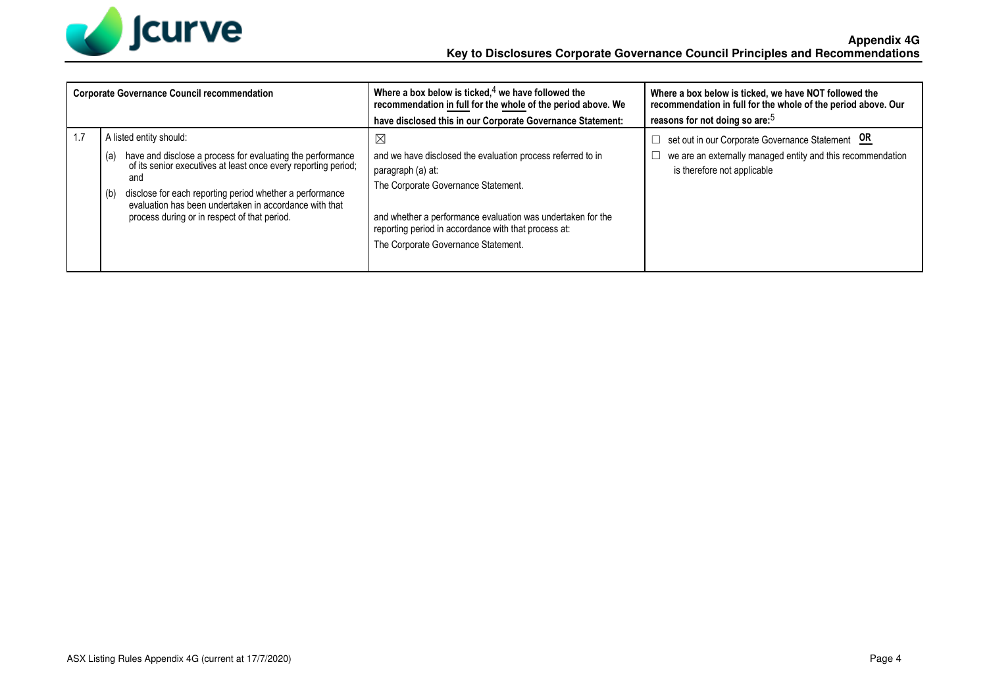

| <b>Corporate Governance Council recommendation</b>                                                                                                                                                                                                                                                                                                 | Where a box below is ticked, $4$ we have followed the<br>recommendation in full for the whole of the period above. We                                                                                                                                                                                | Where a box below is ticked, we have NOT followed the<br>recommendation in full for the whole of the period above. Our                         |
|----------------------------------------------------------------------------------------------------------------------------------------------------------------------------------------------------------------------------------------------------------------------------------------------------------------------------------------------------|------------------------------------------------------------------------------------------------------------------------------------------------------------------------------------------------------------------------------------------------------------------------------------------------------|------------------------------------------------------------------------------------------------------------------------------------------------|
|                                                                                                                                                                                                                                                                                                                                                    | have disclosed this in our Corporate Governance Statement:                                                                                                                                                                                                                                           | reasons for not doing so are: <sup>5</sup>                                                                                                     |
| A listed entity should:<br>have and disclose a process for evaluating the performance<br>of its senior executives at least once every reporting period;<br>(a)<br>and<br>disclose for each reporting period whether a performance<br>(b)<br>evaluation has been undertaken in accordance with that<br>process during or in respect of that period. | $\boxtimes$<br>and we have disclosed the evaluation process referred to in<br>paragraph (a) at:<br>The Corporate Governance Statement.<br>and whether a performance evaluation was undertaken for the<br>reporting period in accordance with that process at:<br>The Corporate Governance Statement. | set out in our Corporate Governance Statement OR<br>we are an externally managed entity and this recommendation<br>is therefore not applicable |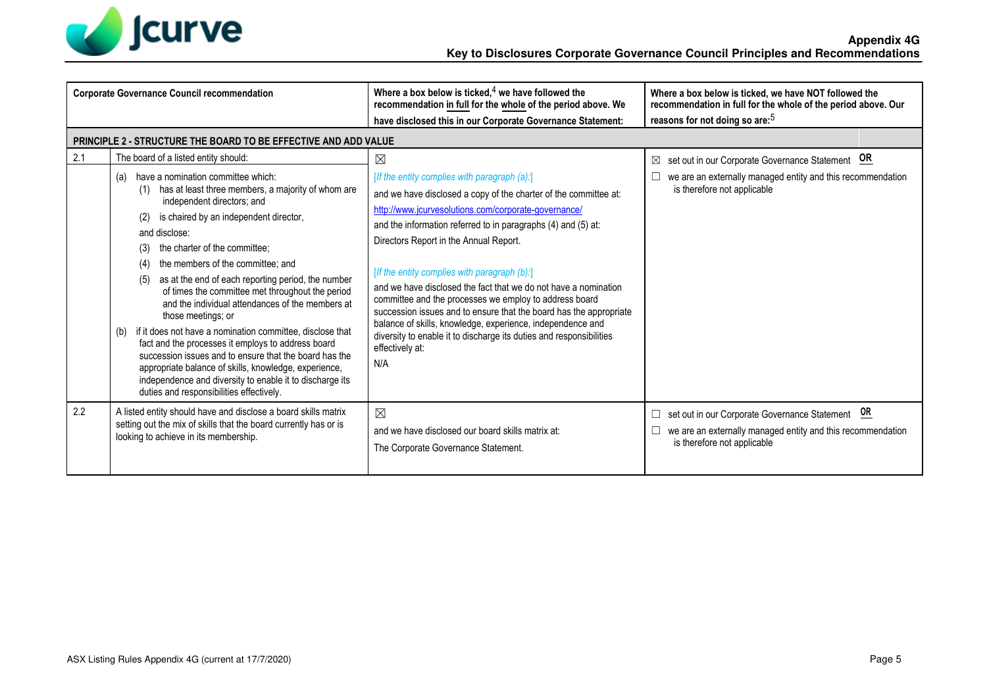

| <b>Corporate Governance Council recommendation</b> |                                                                                                                                                                                                                                                                                                                                                                                                                                                                                                                                                                                                                                                                                                                                                                                                                                                                                 | Where a box below is ticked, $4$ we have followed the<br>recommendation in full for the whole of the period above. We                                                                                                                                                                                                                                                                                                                                                                                                                                                                                                                                                                                                | Where a box below is ticked, we have NOT followed the<br>recommendation in full for the whole of the period above. Our                              |
|----------------------------------------------------|---------------------------------------------------------------------------------------------------------------------------------------------------------------------------------------------------------------------------------------------------------------------------------------------------------------------------------------------------------------------------------------------------------------------------------------------------------------------------------------------------------------------------------------------------------------------------------------------------------------------------------------------------------------------------------------------------------------------------------------------------------------------------------------------------------------------------------------------------------------------------------|----------------------------------------------------------------------------------------------------------------------------------------------------------------------------------------------------------------------------------------------------------------------------------------------------------------------------------------------------------------------------------------------------------------------------------------------------------------------------------------------------------------------------------------------------------------------------------------------------------------------------------------------------------------------------------------------------------------------|-----------------------------------------------------------------------------------------------------------------------------------------------------|
|                                                    |                                                                                                                                                                                                                                                                                                                                                                                                                                                                                                                                                                                                                                                                                                                                                                                                                                                                                 | have disclosed this in our Corporate Governance Statement:                                                                                                                                                                                                                                                                                                                                                                                                                                                                                                                                                                                                                                                           | reasons for not doing so are: <sup>5</sup>                                                                                                          |
|                                                    | <b>PRINCIPLE 2 - STRUCTURE THE BOARD TO BE EFFECTIVE AND ADD VALUE</b>                                                                                                                                                                                                                                                                                                                                                                                                                                                                                                                                                                                                                                                                                                                                                                                                          |                                                                                                                                                                                                                                                                                                                                                                                                                                                                                                                                                                                                                                                                                                                      |                                                                                                                                                     |
| 2.1                                                | The board of a listed entity should:<br>(a) have a nomination committee which:<br>has at least three members, a majority of whom are<br>(1)<br>independent directors; and<br>is chaired by an independent director,<br>(2)<br>and disclose:<br>the charter of the committee;<br>(3)<br>the members of the committee; and<br>(4)<br>as at the end of each reporting period, the number<br>(5)<br>of times the committee met throughout the period<br>and the individual attendances of the members at<br>those meetings; or<br>if it does not have a nomination committee, disclose that<br>(b)<br>fact and the processes it employs to address board<br>succession issues and to ensure that the board has the<br>appropriate balance of skills, knowledge, experience,<br>independence and diversity to enable it to discharge its<br>duties and responsibilities effectively. | $\boxtimes$<br>[If the entity complies with paragraph (a):]<br>and we have disclosed a copy of the charter of the committee at:<br>http://www.jcurvesolutions.com/corporate-governance/<br>and the information referred to in paragraphs (4) and (5) at:<br>Directors Report in the Annual Report.<br>[If the entity complies with paragraph (b):]<br>and we have disclosed the fact that we do not have a nomination<br>committee and the processes we employ to address board<br>succession issues and to ensure that the board has the appropriate<br>balance of skills, knowledge, experience, independence and<br>diversity to enable it to discharge its duties and responsibilities<br>effectively at:<br>N/A | set out in our Corporate Governance Statement OR<br>⊠<br>we are an externally managed entity and this recommendation<br>is therefore not applicable |
| 2.2                                                | A listed entity should have and disclose a board skills matrix<br>setting out the mix of skills that the board currently has or is<br>looking to achieve in its membership.                                                                                                                                                                                                                                                                                                                                                                                                                                                                                                                                                                                                                                                                                                     | $\boxtimes$<br>and we have disclosed our board skills matrix at:<br>The Corporate Governance Statement.                                                                                                                                                                                                                                                                                                                                                                                                                                                                                                                                                                                                              | set out in our Corporate Governance Statement OR<br>we are an externally managed entity and this recommendation<br>is therefore not applicable      |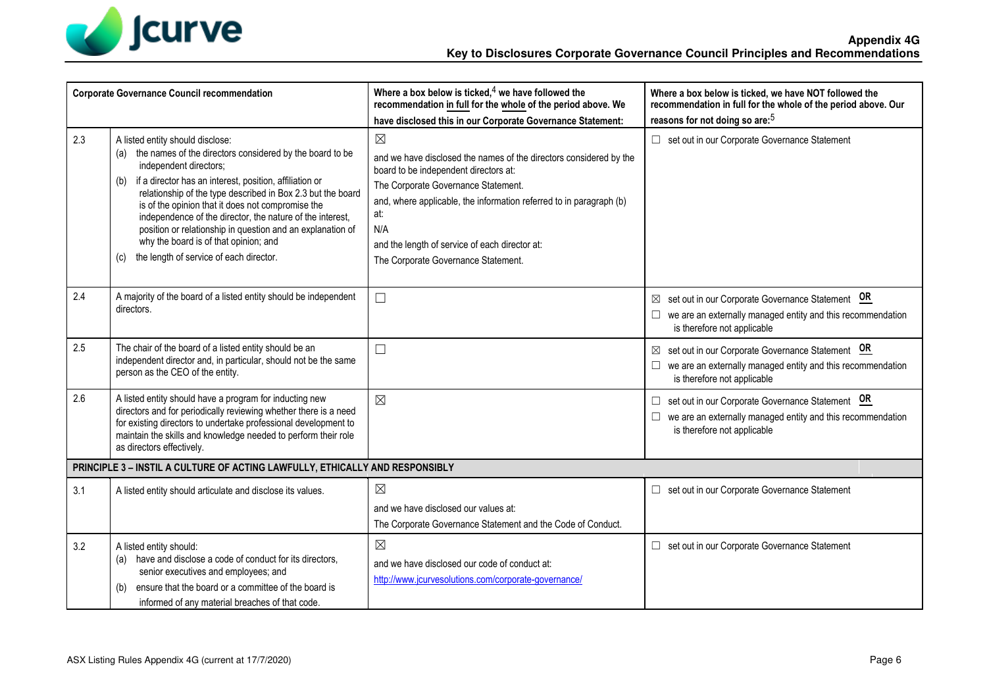

| <b>Corporate Governance Council recommendation</b> |                                                                                                                                                                                                                                                                                                                                                                                                                                                                                                                                     | Where a box below is ticked, $4$ we have followed the<br>recommendation in full for the whole of the period above. We<br>have disclosed this in our Corporate Governance Statement:                                                                                                                                                             | Where a box below is ticked, we have NOT followed the<br>recommendation in full for the whole of the period above. Our<br>reasons for not doing so are: <sup>5</sup> |
|----------------------------------------------------|-------------------------------------------------------------------------------------------------------------------------------------------------------------------------------------------------------------------------------------------------------------------------------------------------------------------------------------------------------------------------------------------------------------------------------------------------------------------------------------------------------------------------------------|-------------------------------------------------------------------------------------------------------------------------------------------------------------------------------------------------------------------------------------------------------------------------------------------------------------------------------------------------|----------------------------------------------------------------------------------------------------------------------------------------------------------------------|
| 2.3                                                | A listed entity should disclose:<br>(a) the names of the directors considered by the board to be<br>independent directors;<br>(b) if a director has an interest, position, affiliation or<br>relationship of the type described in Box 2.3 but the board<br>is of the opinion that it does not compromise the<br>independence of the director, the nature of the interest,<br>position or relationship in question and an explanation of<br>why the board is of that opinion; and<br>the length of service of each director.<br>(c) | $\boxtimes$<br>and we have disclosed the names of the directors considered by the<br>board to be independent directors at:<br>The Corporate Governance Statement.<br>and, where applicable, the information referred to in paragraph (b)<br>at:<br>N/A<br>and the length of service of each director at:<br>The Corporate Governance Statement. | □ set out in our Corporate Governance Statement                                                                                                                      |
| 2.4                                                | A majority of the board of a listed entity should be independent<br>directors.                                                                                                                                                                                                                                                                                                                                                                                                                                                      | $\Box$                                                                                                                                                                                                                                                                                                                                          | set out in our Corporate Governance Statement OR<br>we are an externally managed entity and this recommendation<br>is therefore not applicable                       |
| 2.5                                                | The chair of the board of a listed entity should be an<br>independent director and, in particular, should not be the same<br>person as the CEO of the entity.                                                                                                                                                                                                                                                                                                                                                                       | $\Box$                                                                                                                                                                                                                                                                                                                                          | set out in our Corporate Governance Statement OR<br>we are an externally managed entity and this recommendation<br>is therefore not applicable                       |
| 2.6                                                | A listed entity should have a program for inducting new<br>directors and for periodically reviewing whether there is a need<br>for existing directors to undertake professional development to<br>maintain the skills and knowledge needed to perform their role<br>as directors effectively.                                                                                                                                                                                                                                       | $\boxtimes$                                                                                                                                                                                                                                                                                                                                     | set out in our Corporate Governance Statement OR<br>we are an externally managed entity and this recommendation<br>is therefore not applicable                       |
|                                                    | PRINCIPLE 3 - INSTIL A CULTURE OF ACTING LAWFULLY, ETHICALLY AND RESPONSIBLY                                                                                                                                                                                                                                                                                                                                                                                                                                                        |                                                                                                                                                                                                                                                                                                                                                 |                                                                                                                                                                      |
| 3.1                                                | A listed entity should articulate and disclose its values.                                                                                                                                                                                                                                                                                                                                                                                                                                                                          | $\boxtimes$<br>and we have disclosed our values at:<br>The Corporate Governance Statement and the Code of Conduct.                                                                                                                                                                                                                              | set out in our Corporate Governance Statement<br>$\Box$                                                                                                              |
| 3.2                                                | A listed entity should:<br>(a) have and disclose a code of conduct for its directors,<br>senior executives and employees; and<br>ensure that the board or a committee of the board is<br>(b)<br>informed of any material breaches of that code.                                                                                                                                                                                                                                                                                     | $\boxtimes$<br>and we have disclosed our code of conduct at:<br>http://www.jcurvesolutions.com/corporate-governance/                                                                                                                                                                                                                            | set out in our Corporate Governance Statement<br>$\Box$                                                                                                              |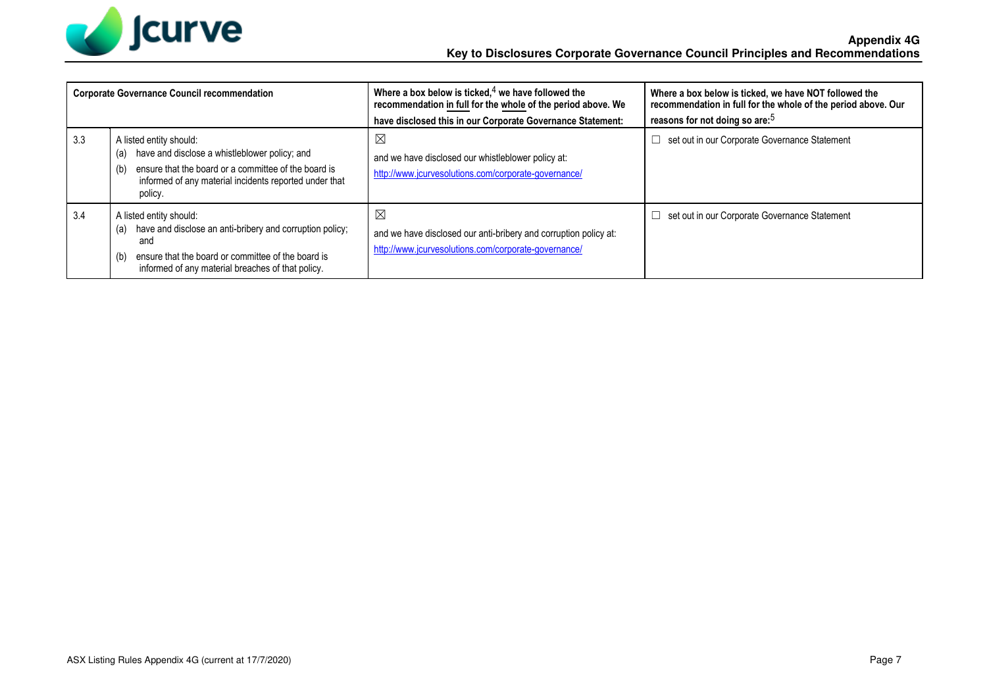

|     | <b>Corporate Governance Council recommendation</b>                                                                                                                                                                  | Where a box below is ticked, $4$ we have followed the<br>recommendation in full for the whole of the period above. We<br>have disclosed this in our Corporate Governance Statement: | Where a box below is ticked, we have NOT followed the<br>recommendation in full for the whole of the period above. Our<br>reasons for not doing so are: <sup>5</sup> |
|-----|---------------------------------------------------------------------------------------------------------------------------------------------------------------------------------------------------------------------|-------------------------------------------------------------------------------------------------------------------------------------------------------------------------------------|----------------------------------------------------------------------------------------------------------------------------------------------------------------------|
| 3.3 | A listed entity should:<br>have and disclose a whistleblower policy; and<br>(a)<br>ensure that the board or a committee of the board is<br>(b)<br>informed of any material incidents reported under that<br>policy. | $\boxtimes$<br>and we have disclosed our whistleblower policy at:<br>http://www.jcurvesolutions.com/corporate-governance/                                                           | set out in our Corporate Governance Statement                                                                                                                        |
| 3.4 | A listed entity should:<br>have and disclose an anti-bribery and corruption policy;<br>(a)<br>and<br>ensure that the board or committee of the board is<br>(b)<br>informed of any material breaches of that policy. | $\boxtimes$<br>and we have disclosed our anti-bribery and corruption policy at:<br>http://www.jcurvesolutions.com/corporate-governance/                                             | set out in our Corporate Governance Statement                                                                                                                        |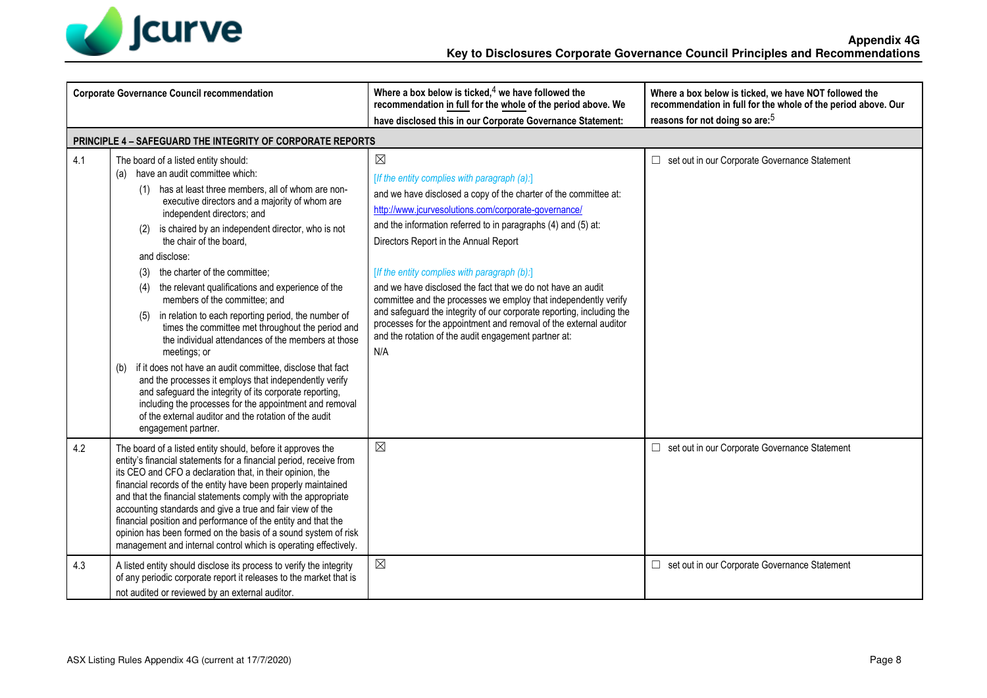

|     | <b>Corporate Governance Council recommendation</b>                                                                                                                                                                                                                                                                                                                                                                                                                                                                                                                                                                                                                                                                                                                                                                                                                                                                                                                                            | Where a box below is ticked, $4$ we have followed the<br>recommendation in full for the whole of the period above. We<br>have disclosed this in our Corporate Governance Statement:                                                                                                                                                                                                                                                                                                                                                                                                                                                                                                              | Where a box below is ticked, we have NOT followed the<br>recommendation in full for the whole of the period above. Our<br>reasons for not doing so are: <sup>5</sup> |
|-----|-----------------------------------------------------------------------------------------------------------------------------------------------------------------------------------------------------------------------------------------------------------------------------------------------------------------------------------------------------------------------------------------------------------------------------------------------------------------------------------------------------------------------------------------------------------------------------------------------------------------------------------------------------------------------------------------------------------------------------------------------------------------------------------------------------------------------------------------------------------------------------------------------------------------------------------------------------------------------------------------------|--------------------------------------------------------------------------------------------------------------------------------------------------------------------------------------------------------------------------------------------------------------------------------------------------------------------------------------------------------------------------------------------------------------------------------------------------------------------------------------------------------------------------------------------------------------------------------------------------------------------------------------------------------------------------------------------------|----------------------------------------------------------------------------------------------------------------------------------------------------------------------|
|     | <b>PRINCIPLE 4 - SAFEGUARD THE INTEGRITY OF CORPORATE REPORTS</b>                                                                                                                                                                                                                                                                                                                                                                                                                                                                                                                                                                                                                                                                                                                                                                                                                                                                                                                             |                                                                                                                                                                                                                                                                                                                                                                                                                                                                                                                                                                                                                                                                                                  |                                                                                                                                                                      |
| 4.1 | The board of a listed entity should:<br>(a) have an audit committee which:<br>(1) has at least three members, all of whom are non-<br>executive directors and a majority of whom are<br>independent directors; and<br>is chaired by an independent director, who is not<br>(2)<br>the chair of the board.<br>and disclose:<br>the charter of the committee;<br>(3)<br>the relevant qualifications and experience of the<br>(4)<br>members of the committee; and<br>in relation to each reporting period, the number of<br>(5)<br>times the committee met throughout the period and<br>the individual attendances of the members at those<br>meetings; or<br>if it does not have an audit committee, disclose that fact<br>(b)<br>and the processes it employs that independently verify<br>and safeguard the integrity of its corporate reporting,<br>including the processes for the appointment and removal<br>of the external auditor and the rotation of the audit<br>engagement partner. | $\boxtimes$<br>[If the entity complies with paragraph (a):]<br>and we have disclosed a copy of the charter of the committee at:<br>http://www.jcurvesolutions.com/corporate-governance/<br>and the information referred to in paragraphs (4) and (5) at:<br>Directors Report in the Annual Report<br>[If the entity complies with paragraph (b):]<br>and we have disclosed the fact that we do not have an audit<br>committee and the processes we employ that independently verify<br>and safeguard the integrity of our corporate reporting, including the<br>processes for the appointment and removal of the external auditor<br>and the rotation of the audit engagement partner at:<br>N/A | set out in our Corporate Governance Statement<br>$\Box$                                                                                                              |
| 4.2 | The board of a listed entity should, before it approves the<br>entity's financial statements for a financial period, receive from<br>its CEO and CFO a declaration that, in their opinion, the<br>financial records of the entity have been properly maintained<br>and that the financial statements comply with the appropriate<br>accounting standards and give a true and fair view of the<br>financial position and performance of the entity and that the<br>opinion has been formed on the basis of a sound system of risk<br>management and internal control which is operating effectively.                                                                                                                                                                                                                                                                                                                                                                                           | $\boxtimes$                                                                                                                                                                                                                                                                                                                                                                                                                                                                                                                                                                                                                                                                                      | Set out in our Corporate Governance Statement                                                                                                                        |
| 4.3 | A listed entity should disclose its process to verify the integrity<br>of any periodic corporate report it releases to the market that is<br>not audited or reviewed by an external auditor.                                                                                                                                                                                                                                                                                                                                                                                                                                                                                                                                                                                                                                                                                                                                                                                                  | $\boxtimes$                                                                                                                                                                                                                                                                                                                                                                                                                                                                                                                                                                                                                                                                                      | set out in our Corporate Governance Statement<br>□                                                                                                                   |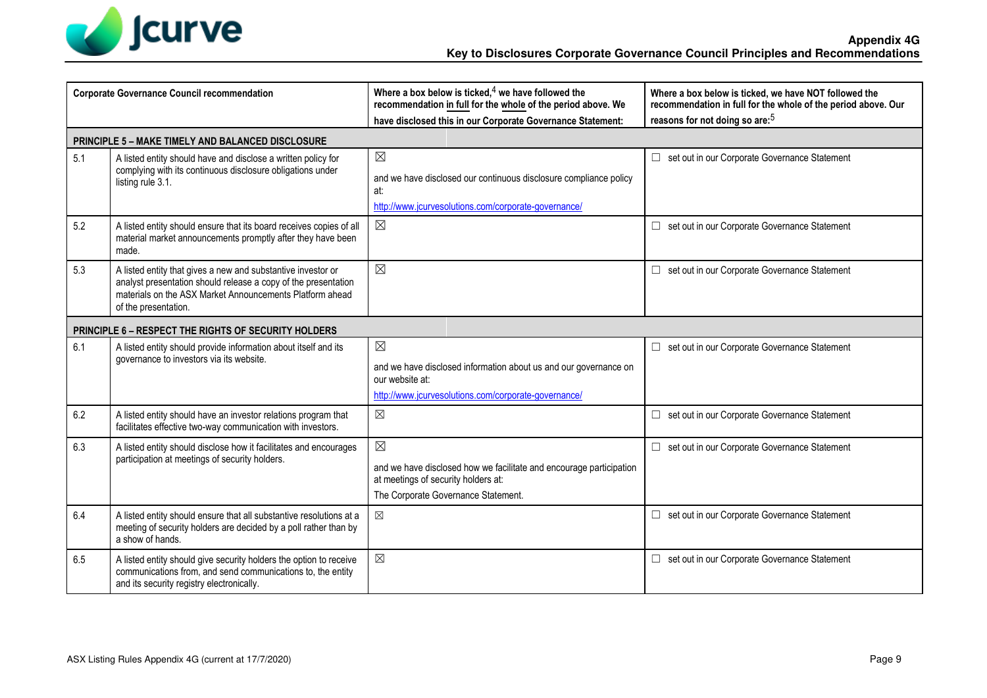

| <b>Corporate Governance Council recommendation</b> |                                                                                                                                                                                                                    | Where a box below is ticked, $4$ we have followed the<br>recommendation in full for the whole of the period above. We<br>have disclosed this in our Corporate Governance Statement: | Where a box below is ticked, we have NOT followed the<br>recommendation in full for the whole of the period above. Our<br>reasons for not doing so are: <sup>5</sup> |
|----------------------------------------------------|--------------------------------------------------------------------------------------------------------------------------------------------------------------------------------------------------------------------|-------------------------------------------------------------------------------------------------------------------------------------------------------------------------------------|----------------------------------------------------------------------------------------------------------------------------------------------------------------------|
|                                                    | <b>PRINCIPLE 5 - MAKE TIMELY AND BALANCED DISCLOSURE</b>                                                                                                                                                           |                                                                                                                                                                                     |                                                                                                                                                                      |
| 5.1                                                | A listed entity should have and disclose a written policy for<br>complying with its continuous disclosure obligations under<br>listing rule 3.1.                                                                   | $\boxtimes$<br>and we have disclosed our continuous disclosure compliance policy<br>at:<br>http://www.jcurvesolutions.com/corporate-governance/                                     | set out in our Corporate Governance Statement<br>$\Box$                                                                                                              |
| 5.2                                                | A listed entity should ensure that its board receives copies of all<br>material market announcements promptly after they have been<br>made.                                                                        | $\boxtimes$                                                                                                                                                                         | set out in our Corporate Governance Statement                                                                                                                        |
| 5.3                                                | A listed entity that gives a new and substantive investor or<br>analyst presentation should release a copy of the presentation<br>materials on the ASX Market Announcements Platform ahead<br>of the presentation. | $\boxtimes$                                                                                                                                                                         | set out in our Corporate Governance Statement                                                                                                                        |
|                                                    | <b>PRINCIPLE 6 - RESPECT THE RIGHTS OF SECURITY HOLDERS</b>                                                                                                                                                        |                                                                                                                                                                                     |                                                                                                                                                                      |
| 6.1                                                | A listed entity should provide information about itself and its<br>governance to investors via its website.                                                                                                        | $\boxtimes$<br>and we have disclosed information about us and our governance on<br>our website at:<br>http://www.jcurvesolutions.com/corporate-governance/                          | □ set out in our Corporate Governance Statement                                                                                                                      |
| 6.2                                                | A listed entity should have an investor relations program that<br>facilitates effective two-way communication with investors.                                                                                      | $\boxtimes$                                                                                                                                                                         | □ set out in our Corporate Governance Statement                                                                                                                      |
| 6.3                                                | A listed entity should disclose how it facilitates and encourages<br>participation at meetings of security holders.                                                                                                | $\boxtimes$<br>and we have disclosed how we facilitate and encourage participation<br>at meetings of security holders at:<br>The Corporate Governance Statement.                    | set out in our Corporate Governance Statement                                                                                                                        |
| 6.4                                                | A listed entity should ensure that all substantive resolutions at a<br>meeting of security holders are decided by a poll rather than by<br>a show of hands.                                                        | $\boxtimes$                                                                                                                                                                         | set out in our Corporate Governance Statement<br>$\Box$                                                                                                              |
| 6.5                                                | A listed entity should give security holders the option to receive<br>communications from, and send communications to, the entity<br>and its security registry electronically.                                     | $\boxtimes$                                                                                                                                                                         | set out in our Corporate Governance Statement<br>□                                                                                                                   |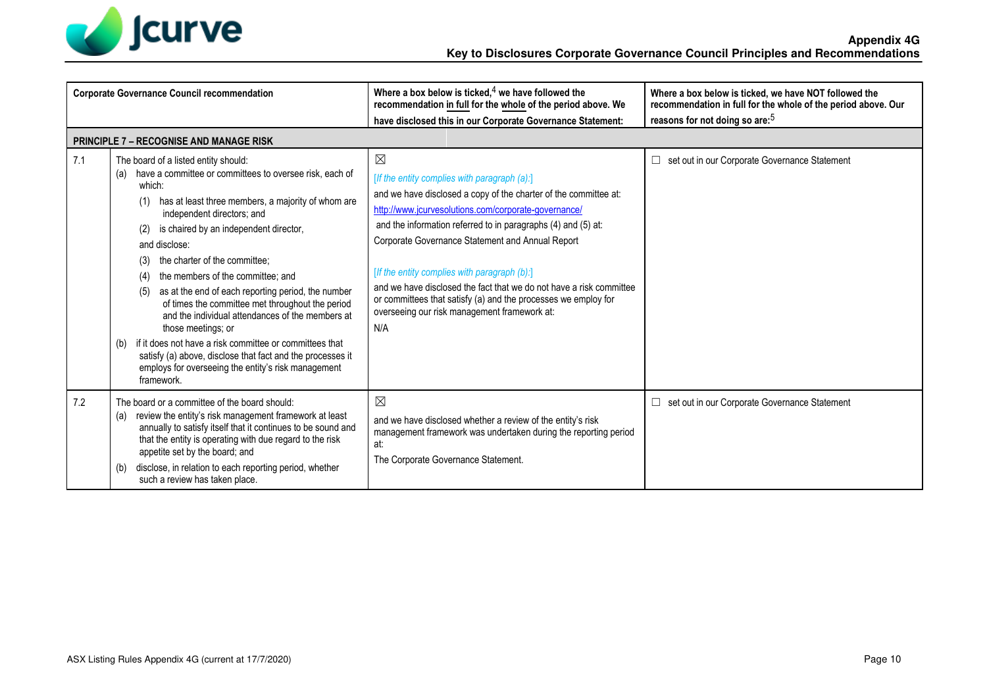

| <b>Corporate Governance Council recommendation</b> |                                                                                                                                                                                                                                                                                                                                                                                                                                                                                                                                                                                                                                                                                                                                                                   | Where a box below is ticked, $4$ we have followed the<br>recommendation in full for the whole of the period above. We                                                                                                                                                                                                                                                                                                                                                                                                                                        | Where a box below is ticked, we have NOT followed the<br>recommendation in full for the whole of the period above. Our |
|----------------------------------------------------|-------------------------------------------------------------------------------------------------------------------------------------------------------------------------------------------------------------------------------------------------------------------------------------------------------------------------------------------------------------------------------------------------------------------------------------------------------------------------------------------------------------------------------------------------------------------------------------------------------------------------------------------------------------------------------------------------------------------------------------------------------------------|--------------------------------------------------------------------------------------------------------------------------------------------------------------------------------------------------------------------------------------------------------------------------------------------------------------------------------------------------------------------------------------------------------------------------------------------------------------------------------------------------------------------------------------------------------------|------------------------------------------------------------------------------------------------------------------------|
|                                                    |                                                                                                                                                                                                                                                                                                                                                                                                                                                                                                                                                                                                                                                                                                                                                                   | have disclosed this in our Corporate Governance Statement:                                                                                                                                                                                                                                                                                                                                                                                                                                                                                                   | reasons for not doing so are: <sup>5</sup>                                                                             |
|                                                    | <b>PRINCIPLE 7 - RECOGNISE AND MANAGE RISK</b>                                                                                                                                                                                                                                                                                                                                                                                                                                                                                                                                                                                                                                                                                                                    |                                                                                                                                                                                                                                                                                                                                                                                                                                                                                                                                                              |                                                                                                                        |
| 7.1                                                | The board of a listed entity should:<br>have a committee or committees to oversee risk, each of<br>(a)<br>which:<br>has at least three members, a majority of whom are<br>(1)<br>independent directors; and<br>is chaired by an independent director,<br>(2)<br>and disclose:<br>the charter of the committee:<br>(3)<br>the members of the committee; and<br>(4)<br>as at the end of each reporting period, the number<br>(5)<br>of times the committee met throughout the period<br>and the individual attendances of the members at<br>those meetings; or<br>if it does not have a risk committee or committees that<br>(b)<br>satisfy (a) above, disclose that fact and the processes it<br>employs for overseeing the entity's risk management<br>framework. | $\boxtimes$<br>[If the entity complies with paragraph (a):]<br>and we have disclosed a copy of the charter of the committee at:<br>http://www.jcurvesolutions.com/corporate-governance/<br>and the information referred to in paragraphs (4) and (5) at:<br>Corporate Governance Statement and Annual Report<br>[If the entity complies with paragraph (b):]<br>and we have disclosed the fact that we do not have a risk committee<br>or committees that satisfy (a) and the processes we employ for<br>overseeing our risk management framework at:<br>N/A | set out in our Corporate Governance Statement<br>□                                                                     |
| 7.2                                                | The board or a committee of the board should:<br>review the entity's risk management framework at least<br>(a)<br>annually to satisfy itself that it continues to be sound and<br>that the entity is operating with due regard to the risk<br>appetite set by the board; and<br>disclose, in relation to each reporting period, whether<br>(b)<br>such a review has taken place.                                                                                                                                                                                                                                                                                                                                                                                  | $\boxtimes$<br>and we have disclosed whether a review of the entity's risk<br>management framework was undertaken during the reporting period<br>at:<br>The Corporate Governance Statement.                                                                                                                                                                                                                                                                                                                                                                  | set out in our Corporate Governance Statement<br>□                                                                     |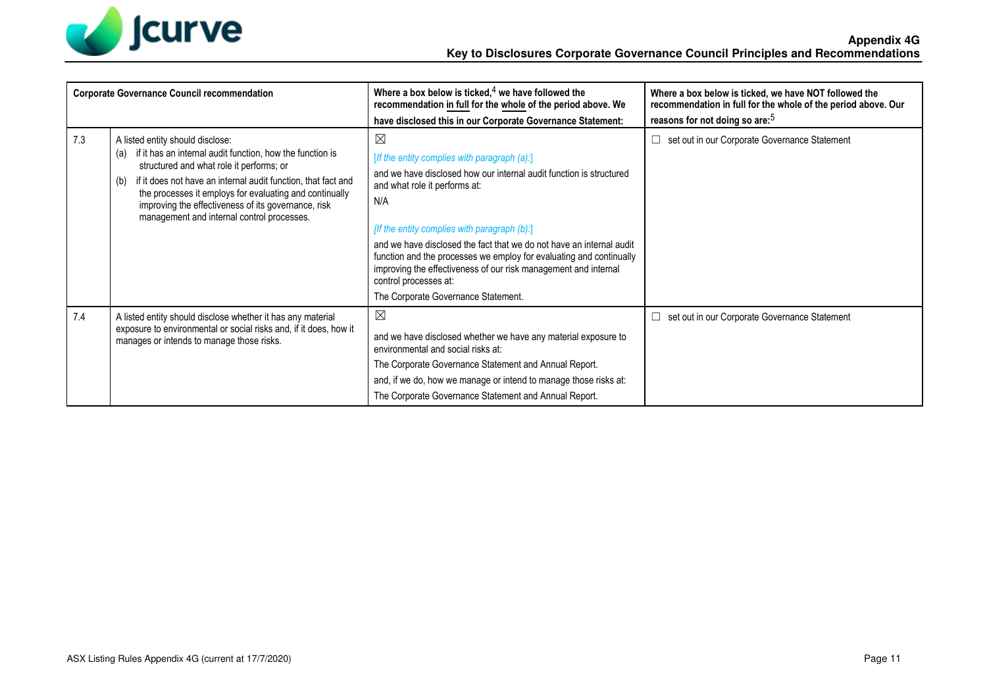

| <b>Corporate Governance Council recommendation</b> |                                                                                                                                                                                                                                                                                                                                                                                          | Where a box below is ticked, $4$ we have followed the<br>recommendation in full for the whole of the period above. We                                                                                                                                                                                                                                                                                                                                                                                        | Where a box below is ticked, we have NOT followed the<br>recommendation in full for the whole of the period above. Our |
|----------------------------------------------------|------------------------------------------------------------------------------------------------------------------------------------------------------------------------------------------------------------------------------------------------------------------------------------------------------------------------------------------------------------------------------------------|--------------------------------------------------------------------------------------------------------------------------------------------------------------------------------------------------------------------------------------------------------------------------------------------------------------------------------------------------------------------------------------------------------------------------------------------------------------------------------------------------------------|------------------------------------------------------------------------------------------------------------------------|
|                                                    |                                                                                                                                                                                                                                                                                                                                                                                          | have disclosed this in our Corporate Governance Statement:                                                                                                                                                                                                                                                                                                                                                                                                                                                   | reasons for not doing so are: <sup>5</sup>                                                                             |
| 7.3                                                | A listed entity should disclose:<br>if it has an internal audit function, how the function is<br>(a)<br>structured and what role it performs; or<br>if it does not have an internal audit function, that fact and<br>(b)<br>the processes it employs for evaluating and continually<br>improving the effectiveness of its governance, risk<br>management and internal control processes. | $\boxtimes$<br>[If the entity complies with paragraph (a):]<br>and we have disclosed how our internal audit function is structured<br>and what role it performs at:<br>N/A<br>[If the entity complies with paragraph (b):]<br>and we have disclosed the fact that we do not have an internal audit<br>function and the processes we employ for evaluating and continually<br>improving the effectiveness of our risk management and internal<br>control processes at:<br>The Corporate Governance Statement. | set out in our Corporate Governance Statement                                                                          |
| 7.4                                                | A listed entity should disclose whether it has any material<br>exposure to environmental or social risks and, if it does, how it<br>manages or intends to manage those risks.                                                                                                                                                                                                            | $\boxtimes$<br>and we have disclosed whether we have any material exposure to<br>environmental and social risks at:<br>The Corporate Governance Statement and Annual Report.<br>and, if we do, how we manage or intend to manage those risks at:<br>The Corporate Governance Statement and Annual Report.                                                                                                                                                                                                    | set out in our Corporate Governance Statement                                                                          |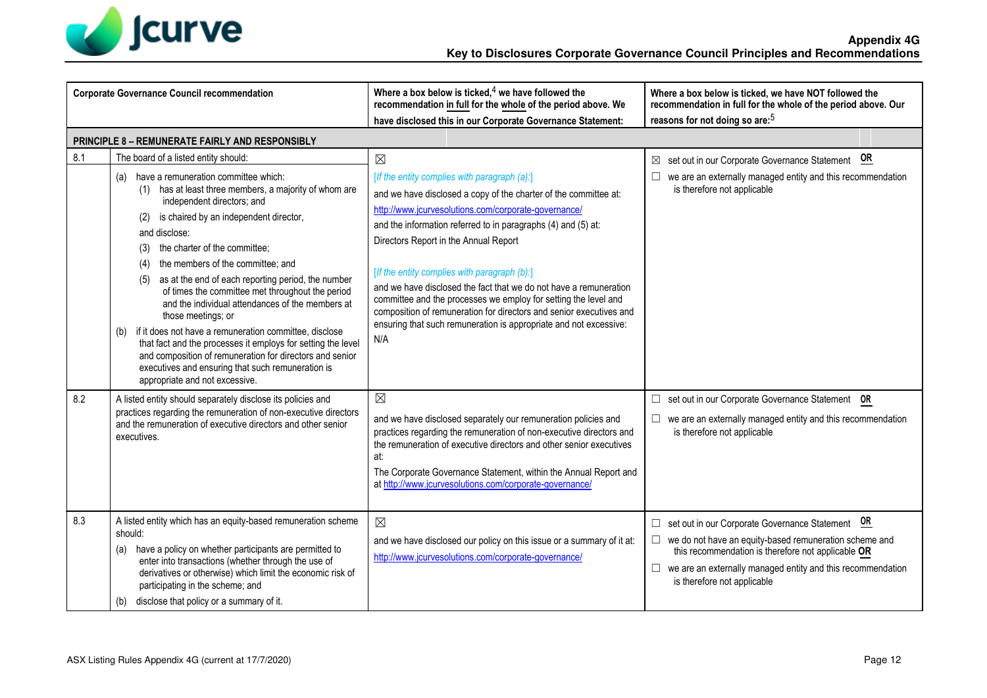

| <b>Corporate Governance Council recommendation</b> |                                                                                                                                                                                                                                                                                                                                                                                                                                                                                                                                                              | Where a box below is ticked, $4$ we have followed the<br>recommendation in full for the whole of the period above. We<br>have disclosed this in our Corporate Governance Statement:                                                                                                                                                                                              | Where a box below is ticked, we have NOT followed the<br>recommendation in full for the whole of the period above. Our<br>reasons for not doing so are: <sup>5</sup>                                                                                                |
|----------------------------------------------------|--------------------------------------------------------------------------------------------------------------------------------------------------------------------------------------------------------------------------------------------------------------------------------------------------------------------------------------------------------------------------------------------------------------------------------------------------------------------------------------------------------------------------------------------------------------|----------------------------------------------------------------------------------------------------------------------------------------------------------------------------------------------------------------------------------------------------------------------------------------------------------------------------------------------------------------------------------|---------------------------------------------------------------------------------------------------------------------------------------------------------------------------------------------------------------------------------------------------------------------|
| 8.1                                                | PRINCIPLE 8 - REMUNERATE FAIRLY AND RESPONSIBLY<br>The board of a listed entity should:<br>have a remuneration committee which:<br>(a)<br>(1) has at least three members, a majority of whom are<br>independent directors; and<br>is chaired by an independent director,<br>(2)<br>and disclose:                                                                                                                                                                                                                                                             | $\boxtimes$<br>[If the entity complies with paragraph (a):]<br>and we have disclosed a copy of the charter of the committee at:<br>http://www.jcurvesolutions.com/corporate-governance/<br>and the information referred to in paragraphs (4) and (5) at:                                                                                                                         | set out in our Corporate Governance Statement OR<br>⊠<br>we are an externally managed entity and this recommendation<br>is therefore not applicable                                                                                                                 |
|                                                    | the charter of the committee;<br>(3)<br>the members of the committee; and<br>(4)<br>as at the end of each reporting period, the number<br>(5)<br>of times the committee met throughout the period<br>and the individual attendances of the members at<br>those meetings; or<br>(b) if it does not have a remuneration committee, disclose<br>that fact and the processes it employs for setting the level<br>and composition of remuneration for directors and senior<br>executives and ensuring that such remuneration is<br>appropriate and not excessive. | Directors Report in the Annual Report<br>[If the entity complies with paragraph (b):]<br>and we have disclosed the fact that we do not have a remuneration<br>committee and the processes we employ for setting the level and<br>composition of remuneration for directors and senior executives and<br>ensuring that such remuneration is appropriate and not excessive:<br>N/A |                                                                                                                                                                                                                                                                     |
| 8.2                                                | A listed entity should separately disclose its policies and<br>practices regarding the remuneration of non-executive directors<br>and the remuneration of executive directors and other senior<br>executives.                                                                                                                                                                                                                                                                                                                                                | $\boxtimes$<br>and we have disclosed separately our remuneration policies and<br>practices regarding the remuneration of non-executive directors and<br>the remuneration of executive directors and other senior executives<br>at:<br>The Corporate Governance Statement, within the Annual Report and<br>at http://www.jcurvesolutions.com/corporate-governance/                | set out in our Corporate Governance Statement OR<br>□<br>we are an externally managed entity and this recommendation<br>is therefore not applicable                                                                                                                 |
| 8.3                                                | A listed entity which has an equity-based remuneration scheme<br>should:<br>(a) have a policy on whether participants are permitted to<br>enter into transactions (whether through the use of<br>derivatives or otherwise) which limit the economic risk of<br>participating in the scheme; and<br>disclose that policy or a summary of it.<br>(b)                                                                                                                                                                                                           | $\boxtimes$<br>and we have disclosed our policy on this issue or a summary of it at:<br>http://www.jcurvesolutions.com/corporate-governance/                                                                                                                                                                                                                                     | set out in our Corporate Governance Statement OR<br>we do not have an equity-based remuneration scheme and<br>this recommendation is therefore not applicable OR<br>□<br>we are an externally managed entity and this recommendation<br>is therefore not applicable |